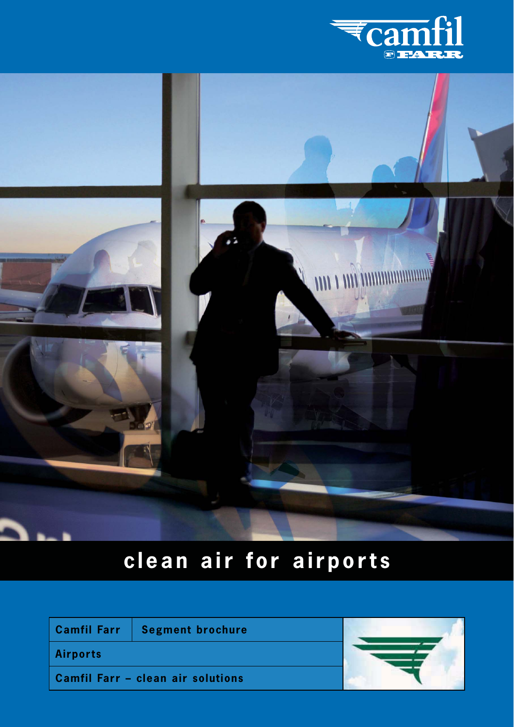



# **clean air for airports**

|                 | Camfil Farr   Segment brochure    |  |
|-----------------|-----------------------------------|--|
| <b>Airports</b> |                                   |  |
|                 | Camfil Farr - clean air solutions |  |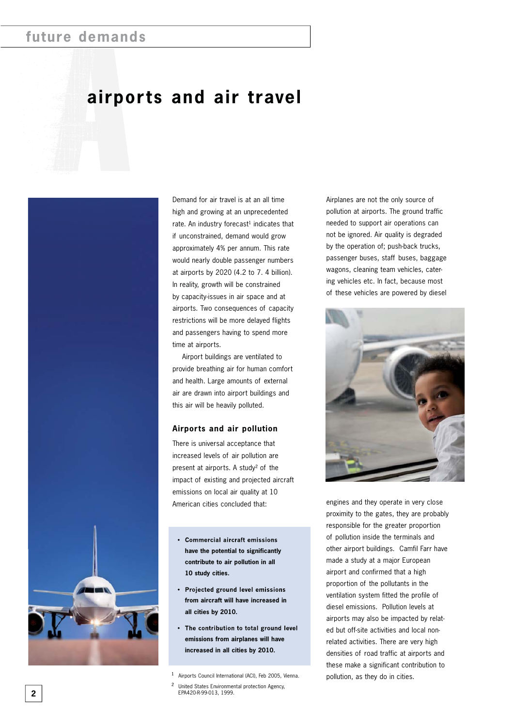## **future demands**

## **airports and air travel**



Demand for air travel is at an all time high and growing at an unprecedented rate. An industry forecast<sup>1</sup> indicates that if unconstrained, demand would grow approximately 4% per annum. This rate would nearly double passenger numbers at airports by 2020 (4.2 to 7. 4 billion). In reality, growth will be constrained by capacity-issues in air space and at airports. Two consequences of capacity restrictions will be more delayed flights and passengers having to spend more time at airports.

Airport buildings are ventilated to provide breathing air for human comfort and health. Large amounts of external air are drawn into airport buildings and this air will be heavily polluted.

#### **Airports and air pollution**

There is universal acceptance that increased levels of air pollution are present at airports. A study² of the impact of existing and projected aircraft emissions on local air quality at 10 American cities concluded that:

- Commercial aircraft emissions **have the potential to significantly contribute to air pollution in all 10 study cities.**
- Projected ground level emissions **from aircraft will have increased in all cities by 2010.**
- The contribution to total ground level **emissions from airplanes will have increased in all cities by 2010.**

<sup>1</sup> Airports Council International (ACI), Feb 2005, Vienna.

<sup>2</sup> United States Environmental protection Agency, EPA420-R-99-013, 1999.

Airplanes are not the only source of pollution at airports. The ground traffic needed to support air operations can not be ignored. Air quality is degraded by the operation of; push-back trucks, passenger buses, staff buses, baggage wagons, cleaning team vehicles, catering vehicles etc. In fact, because most of these vehicles are powered by diesel



engines and they operate in very close proximity to the gates, they are probably responsible for the greater proportion of pollution inside the terminals and other airport buildings. Camfil Farr have made a study at a major European airport and confirmed that a high proportion of the pollutants in the ventilation system fitted the profile of diesel emissions. Pollution levels at airports may also be impacted by related but off-site activities and local nonrelated activities. There are very high densities of road traffic at airports and these make a significant contribution to pollution, as they do in cities.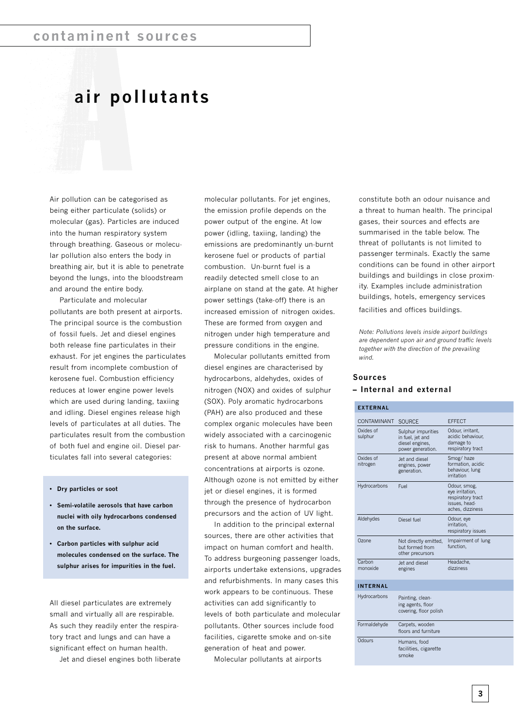## **air pollutants**

Air pollution can be categorised as being either particulate (solids) or molecular (gas). Particles are induced into the human respiratory system through breathing. Gaseous or molecular pollution also enters the body in breathing air, but it is able to penetrate beyond the lungs, into the bloodstream and around the entire body.

Particulate and molecular pollutants are both present at airports. The principal source is the combustion of fossil fuels. Jet and diesel engines both release fine particulates in their exhaust. For jet engines the particulates result from incomplete combustion of kerosene fuel. Combustion efficiency reduces at lower engine power levels which are used during landing, taxiing and idling. Diesel engines release high levels of particulates at all duties. The particulates result from the combustion of both fuel and engine oil. Diesel particulates fall into several categories:

- Dry particles or soot
- **•** Semi-volatile aerosols that have carbon **nuclei with oily hydrocarbons condensed on the surface.**
- Carbon particles with sulphur acid molecules condensed on the surface. The **sulphur arises for impurities in the fuel.**

All diesel particulates are extremely small and virtually all are respirable. As such they readily enter the respiratory tract and lungs and can have a significant effect on human health.

Jet and diesel engines both liberate

molecular pollutants. For jet engines, the emission profile depends on the power output of the engine. At low power (idling, taxiing, landing) the emissions are predominantly un-burnt kerosene fuel or products of partial combustion. Un-burnt fuel is a readily detected smell close to an airplane on stand at the gate. At higher power settings (take-off) there is an increased emission of nitrogen oxides. These are formed from oxygen and nitrogen under high temperature and pressure conditions in the engine.

Molecular pollutants emitted from diesel engines are characterised by hydrocarbons, aldehydes, oxides of nitrogen (NOX) and oxides of sulphur (SOX). Poly aromatic hydrocarbons (PAH) are also produced and these complex organic molecules have been widely associated with a carcinogenic risk to humans. Another harmful gas present at above normal ambient concentrations at airports is ozone. Although ozone is not emitted by either jet or diesel engines, it is formed through the presence of hydrocarbon precursors and the action of UV light.

In addition to the principal external sources, there are other activities that impact on human comfort and health. To address burgeoning passenger loads, airports undertake extensions, upgrades and refurbishments. In many cases this work appears to be continuous. These activities can add significantly to levels of both particulate and molecular pollutants. Other sources include food facilities, cigarette smoke and on-site generation of heat and power.

Molecular pollutants at airports

constitute both an odour nuisance and a threat to human health. The principal gases, their sources and effects are summarised in the table below. The threat of pollutants is not limited to passenger terminals. Exactly the same conditions can be found in other airport buildings and buildings in close proximity. Examples include administration buildings, hotels, emergency services facilities and offices buildings.

*Note: Pollutions levels inside airport buildings are dependent upon air and ground traffic levels together with the direction of the prevailing wind.* 

#### **Sources – Internal and external**

| <b>EXTERNAL</b>       |                                                                                |                                                                                           |  |  |  |  |  |
|-----------------------|--------------------------------------------------------------------------------|-------------------------------------------------------------------------------------------|--|--|--|--|--|
| CONTAMINANT           | <b>SOURCE</b>                                                                  | <b>EFFECT</b>                                                                             |  |  |  |  |  |
| Oxides of<br>sulphur  | Sulphur impurities<br>in fuel, jet and<br>diesel engines,<br>power generation. | Odour, irritant,<br>acidic behaviour.<br>damage to<br>respiratory tract                   |  |  |  |  |  |
| Oxides of<br>nitrogen | Jet and diesel<br>engines, power<br>generation.                                | Smog/haze<br>formation, acidic<br>behaviour, lung<br>irritation                           |  |  |  |  |  |
| Hydrocarbons          | Fuel                                                                           | Odour, smog,<br>eye irritation,<br>respiratory tract<br>issues, head-<br>aches, dizziness |  |  |  |  |  |
| Aldehydes             | Diesel fuel                                                                    | Odour, eye<br>irritation.<br>respiratory issues                                           |  |  |  |  |  |
| Ozone                 | Not directly emitted,<br>but formed from<br>other precursors                   | Impairment of lung<br>function.                                                           |  |  |  |  |  |
| Carbon<br>monoxide    | Jet and diesel<br>engines                                                      | Headache.<br>dizziness                                                                    |  |  |  |  |  |
| <b>INTERNAL</b>       |                                                                                |                                                                                           |  |  |  |  |  |
| Hydrocarbons          | Painting, clean-<br>ing agents, floor<br>covering, floor polish                |                                                                                           |  |  |  |  |  |
| Formaldehyde          | Carpets, wooden<br>floors and furniture                                        |                                                                                           |  |  |  |  |  |
| Odours                | Humans, food<br>facilities, cigarette<br>smoke                                 |                                                                                           |  |  |  |  |  |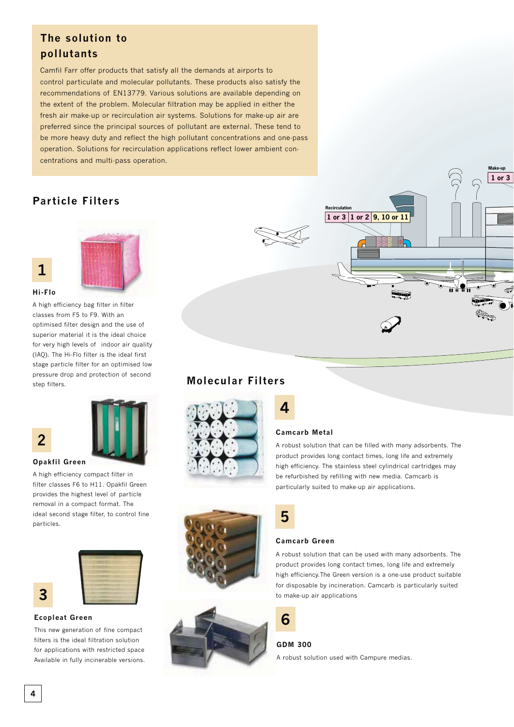### The solution to **pollutants**

Camfil Farr offer products that satisfy all the demands at airports to control particulate and molecular pollutants. These products also satisfy the recommendations of EN13779. Various solutions are available depending on the extent of the problem. Molecular filtration may be applied in either the fresh air make-up or recirculation air systems. Solutions for make-up air are preferred since the principal sources of pollutant are external. These tend to be more heavy duty and reflect the high pollutant concentrations and one-pass operation. Solutions for recirculation applications reflect lower ambient concentrations and multi-pass operation.

#### **Particle Filters**



#### $H$ **i**-Flo

**1**

A high efficiency bag filter in filter classes from F5 to F9. With an optimised filter design and the use of superior material it is the ideal choice for very high levels of indoor air quality (IAQ). The Hi-Flo filter is the ideal first stage particle filter for an optimised low pressure drop and protection of second step filters.

## **2**



#### **Opakfil Green**

A high efficiency compact filter in filter classes F6 to H11. Opakfil Green provides the highest level of particle removal in a compact format. The ideal second stage filter, to control fine particles.



#### **Ecopleat Green**

**3**

This new generation of fine compact filters is the ideal filtration solution for applications with restricted space. Available in fully incinerable versions.

# **1 or 3 1 or 2 9, 10 or 11 Recirculation**

**1 or 3**

**Make-up**

#### **Molecular Filters**



## **4**

#### **Camcarb Metal**

A robust solution that can be filled with many adsorbents. The product provides long contact times, long life and extremely high efficiency. The stainless steel cylindrical cartridges may be refurbished by refilling with new media. Camcarb is particularly suited to make-up air applications.



#### **Camcarb Green**

A robust solution that can be used with many adsorbents. The product provides long contact times, long life and extremely high efficiency.The Green version is a one-use product suitable for disposable by incineration. Camcarb is particularly suited to make-up air applications



#### GDM 300

A robust solution used with Campure medias.

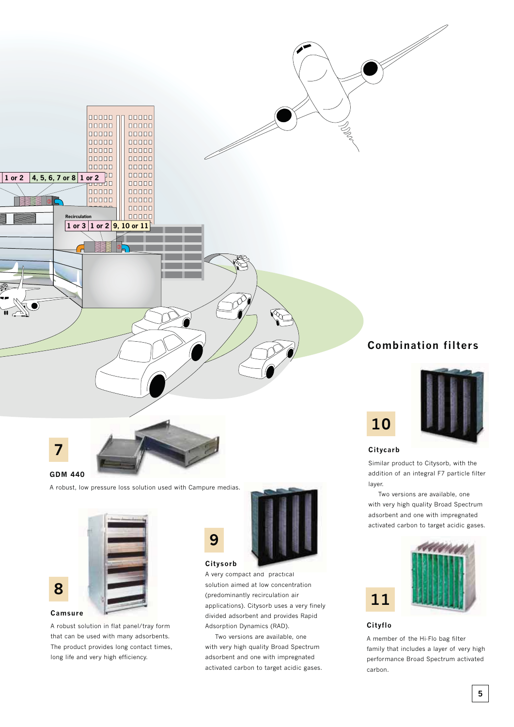

GDM 440

A robust, low pressure loss solution used with Campure medias.



A robust solution in flat panel/tray form that can be used with many adsorbents. The product provides long contact times, long life and very high efficiency.

## **9**



#### **Citysorb**

A very compact and practical solution aimed at low concentration (predominantly recirculation air applications). Citysorb uses a very finely divided adsorbent and provides Rapid Adsorption Dynamics (RAD).

Two versions are available, one with very high quality Broad Spectrum adsorbent and one with impregnated activated carbon to target acidic gases.

#### **Combination filters**



Similar product to Citysorb, with the addition of an integral F7 particle filter layer.

Two versions are available, one with very high quality Broad Spectrum adsorbent and one with impregnated activated carbon to target acidic gases.



#### **Cityflo**

**11**

A member of the Hi-Flo bag filter family that includes a layer of very high performance Broad Spectrum activated carbon.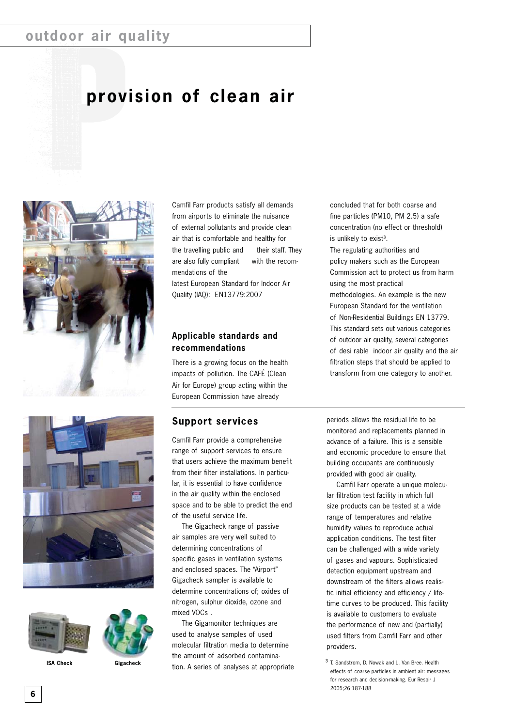## **outdoor air quality**

## **provision of clean air**









**ISA Check Gigacheck**

Camfil Farr products satisfy all demands from airports to eliminate the nuisance of external pollutants and provide clean air that is comfortable and healthy for the travelling public and their staff. They are also fully compliant with the recommendations of the latest European Standard for Indoor Air Quality (IAQ): EN13779:2007

#### **Applicable standards and recommendations**

There is a growing focus on the health impacts of pollution. The CAFÉ (Clean Air for Europe) group acting within the European Commission have already

#### **Support services**

Camfil Farr provide a comprehensive range of support services to ensure that users achieve the maximum benefit from their filter installations. In particular, it is essential to have confidence in the air quality within the enclosed space and to be able to predict the end of the useful service life.

The Gigacheck range of passive air samples are very well suited to determining concentrations of specific gases in ventilation systems and enclosed spaces. The "Airport" Gigacheck sampler is available to determine concentrations of; oxides of nitrogen, sulphur dioxide, ozone and mixed VOCs .

The Gigamonitor techniques are used to analyse samples of used molecular filtration media to determine the amount of adsorbed contamination. A series of analyses at appropriate concluded that for both coarse and fine particles (PM10, PM 2.5) a safe concentration (no effect or threshold) is unlikely to exist<sup>3</sup>. The regulating authorities and policy makers such as the European Commission act to protect us from harm using the most practical methodologies. An example is the new European Standard for the ventilation of Non-Residential Buildings EN 13779. This standard sets out various categories of outdoor air quality, several categories of desi rable indoor air quality and the air filtration steps that should be applied to transform from one category to another.

periods allows the residual life to be monitored and replacements planned in advance of a failure. This is a sensible and economic procedure to ensure that building occupants are continuously provided with good air quality.

Camfil Farr operate a unique molecular filtration test facility in which full size products can be tested at a wide range of temperatures and relative humidity values to reproduce actual application conditions. The test filter can be challenged with a wide variety of gases and vapours. Sophisticated detection equipment upstream and downstream of the filters allows realistic initial efficiency and efficiency / lifetime curves to be produced. This facility is available to customers to evaluate the performance of new and (partially) used filters from Camfil Farr and other providers.

³ T. Sandstrom, D. Nowak and L. Van Bree. Health effects of coarse particles in ambient air: messages for research and decision-making. Eur Respir J 2005;26:187-188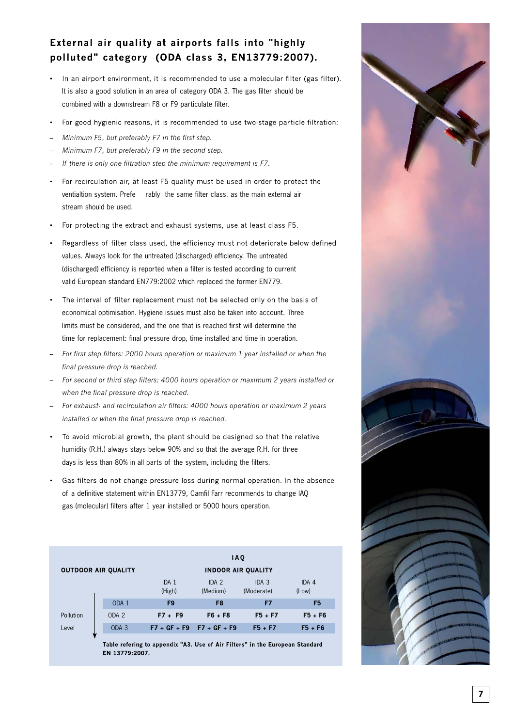#### External air quality at airports falls into "highly polluted" category (ODA class 3, EN13779:2007).

- In an airport environment, it is recommended to use a molecular filter (gas filter). It is also a good solution in an area of category ODA 3. The gas filter should be combined with a downstream F8 or F9 particulate filter.
- For good hygienic reasons, it is recommended to use two-stage particle filtration:  $\bullet$
- *Minimum F5, but preferably F7 in the first step.*
- *Minimum F7, but preferably F9 in the second step.*
- *If there is only one filtration step the minimum requirement is F7.*
- For recirculation air, at least F5 quality must be used in order to protect the ventialtion system. Prefe rably the same filter class, as the main external air stream should be used.
- For protecting the extract and exhaust systems, use at least class F5.
- Regardless of filter class used, the efficiency must not deteriorate below defined values. Always look for the untreated (discharged) efficiency. The untreated (discharged) efficiency is reported when a filter is tested according to current valid European standard EN779:2002 which replaced the former EN779.
- The interval of filter replacement must not be selected only on the basis of economical optimisation. Hygiene issues must also be taken into account. Three limits must be considered, and the one that is reached first will determine the time for replacement: final pressure drop, time installed and time in operation.
- *For first step filters: 2000 hours operation or maximum 1 year installed or when the final pressure drop is reached.*
- *For second or third step filters: 4000 hours operation or maximum 2 years installed or when the final pressure drop is reached.*
- *For exhaust- and recirculation air filters: 4000 hours operation or maximum 2 years installed or when the final pressure drop is reached.*
- To avoid microbial growth, the plant should be designed so that the relative humidity (R.H.) always stays below 90% and so that the average R.H. for three days is less than 80% in all parts of the system, including the filters.
- Gas filters do not change pressure loss during normal operation. In the absence of a definitive statement within EN13779, Camfil Farr recommends to change IAQ gas (molecular) filters after 1 year installed or 5000 hours operation.

| <b>OUTDOOR AIR QUALITY</b> |                  | <b>IAO</b><br><b>INDOOR AIR OUALITY</b>                                     |                               |                                |                |
|----------------------------|------------------|-----------------------------------------------------------------------------|-------------------------------|--------------------------------|----------------|
|                            |                  | IDA 1<br>(High)                                                             | IDA <sub>2</sub><br>(Medium)  | IDA <sub>3</sub><br>(Moderate) | IDA 4<br>(Low) |
|                            | ODA 1            | F <sub>9</sub>                                                              | F <sub>8</sub>                | F7                             | F <sub>5</sub> |
| Pollution                  | ODA <sub>2</sub> | $F7 + F9$                                                                   | $F6 + F8$                     | $F5 + F7$                      | $F5 + F6$      |
| Level<br>w                 | ODA <sub>3</sub> |                                                                             | $F7 + GF + F9$ $F7 + GF + F9$ | $F5 + F7$                      | $F5 + F6$      |
|                            |                  | 完全します。 しょうしんしん エンジンス こうしんし 日本の コオレン しょうほうし 長村 しんしけいしょ はっこ こうしょうしん のまいしょけいしょ |                               |                                |                |

Table refering to appendix "A3. Use of Air Filters" in the European Standard FN 13779-2007